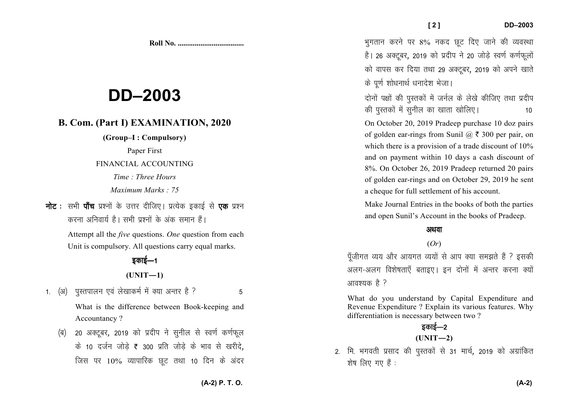**Roll No. ...................................** 

# **DD–2003**

#### **B. Com. (Part I) EXAMINATION, 2020**

**(Group–I : Compulsory)** 

Paper First

#### FINANCIAL ACCOUNTING

*Time : Three Hours* 

*Maximum Marks : 75*

**नोट** : सभी **पाँच** प्रश्नों के उत्तर दीजिए। प्रत्येक इकाई से **एक** प्रश्न *djuk vfuok;Z gSA lHkh iz'uksa d¢ vad leku gSaA* 

> Attempt all the *five* questions. *One* question from each Unit is compulsory. All questions carry equal marks.

## *sकाई—1*

#### **(UNIT—1)**

- 1. (अ) पुस्तपालन एवं लेखाकर्म में क्या अन्तर है ? What is the difference between Book-keeping and Accountancy ?
	- *(*ब) 20 अक्टूबर, 2019 को प्रदीप ने सुनील से स्वर्ण कर्णफूल के 10 दर्जन जोड़े ₹ 300 प्रति जोड़े के भाव से खरीदे. <u>जिस पर 10% व्यापारिक छट तथा 10 दिन के अंदर</u>

*Hkqxrku djus ij* 8% *udn NwV fn, tkus dh O;oLFkk* है। 26 अक्टूबर, 2019 को प्रदीप ने 20 जोड़े स्वर्ण कर्णफलों *को* वापस कर दिया तथा 29 अक्टूबर, 2019 को अपने खाते *के* पूर्ण शोधनार्थ धनादेश भेजा।

*nksuksa i{kksa dh iqLrdksa esa tuZy ds ys[ks dhft, rFkk iznhi dh iqLrdksa esa lquhy dk [kkrk [kksfy,A 10* 

On October 20, 2019 Pradeep purchase 10 doz pairs of golden ear-rings from Sunil  $(a, \bar{\tau})$  300 per pair, on which there is a provision of a trade discount of  $10\%$ and on payment within 10 days a cash discount of 8%. On October 26, 2019 Pradeep returned 20 pairs of golden ear-rings and on October 29, 2019 he senta cheque for full settlement of his account.

Make Journal Entries in the books of both the parties and open Sunil's Account in the books of Pradeep.

#### अथवा

#### (*Or*)

पॅजीगत व्यय और आयगत व्ययों से आप क्या समझते हैं ? इसकी अलग-अलग विशेषताएँ बताइए। इन दोनों में अन्तर करना क्यों *आवश्यक है ?* 

What do you understand by Capital Expenditure and Revenue Expenditure ? Explain its various features. Why differentiation is necessary between two ?

### <u>5काई—2</u>  $(UNIT-2)$

*2- fe- Hkxorh izlkn dh iqLrdksa ls 31 ekpZ*] *2019 dks vxzkafdr शेष लिए गए हैं* :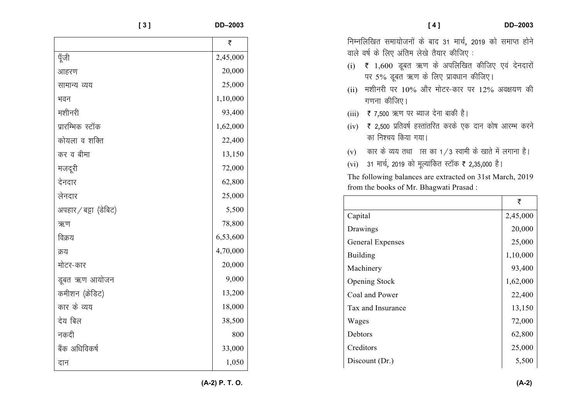| [3]                   | DD-2003  | DD-2003<br>[4]                                                                                     |
|-----------------------|----------|----------------------------------------------------------------------------------------------------|
|                       | ₹        | निम्नलिखित समायोजनों के बाद 31 मार्च, 2019 को समाप्त होने                                          |
| पूँजी                 | 2,45,000 | वाले वर्ष के लिए अंतिम लेखे तैयार कीजिए:                                                           |
| आहरण                  | 20,000   | ₹ 1,600 डूबत ऋण के अपलिखित कीजिए एवं देनदारों<br>(i)<br>पर 5% डूबत ऋण के लिए प्रावधान कीजिए।       |
| सामान्य व्यय          | 25,000   | मशीनरी पर 10% और मोटर-कार पर 12% अवक्षयण की<br>(ii)                                                |
| भवन                   | 1,10,000 | गणना कीजिए।                                                                                        |
| मशीनरी                | 93,400   | ₹ 7,500 ऋण पर ब्याज देना बाकी है।<br>(iii)                                                         |
| प्रारम्भिक स्टॉक      | 1,62,000 | ₹ 2,500 प्रतिवर्ष हस्तांतरित करके एक दान कोष आरम्भ करने<br>(iv)                                    |
| कोयला व शक्ति         | 22,400   | का निश्चय किया गया।                                                                                |
| कर व बीमा             | 13,150   | कार के व्यय तथा जस का 1/3 स्वामी के खाते में लगाना है।<br>(v)                                      |
| मजदूरी                | 72,000   | 31 मार्च, 2019 को मूल्यांकित स्टॉक ₹ 2,35,000 है।<br>(vi)                                          |
| देनदार                | 62,800   | The following balances are extracted on 31st March, 2019<br>from the books of Mr. Bhagwati Prasad: |
| लेनदार                | 25,000   | ₹                                                                                                  |
| अपहार / बट्टा (डेबिट) | 5,500    | 2,45,000<br>Capital                                                                                |
| ऋण                    | 78,800   | Drawings<br>20,000                                                                                 |
| विक्रय                | 6,53,600 | 25,000<br><b>General Expenses</b>                                                                  |
| क्रय                  | 4,70,000 | 1,10,000<br>Building                                                                               |
| मोटर-कार              | 20,000   | 93,400<br>Machinery                                                                                |
| डूबत ऋण आयोजन         | 9,000    | Opening Stock<br>1,62,000                                                                          |
| कमीशन (क्रेडिट)       | 13,200   | Coal and Power<br>22,400                                                                           |
| कार के व्यय           | 18,000   | Tax and Insurance<br>13,150                                                                        |
| देय बिल               | 38,500   | Wages<br>72,000                                                                                    |
| नकदी                  | 800      | Debtors<br>62,800                                                                                  |
| बैंक अधिविकर्ष        | 33,000   | Creditors<br>25,000                                                                                |
| दान                   | 1,050    | Discount (Dr.)<br>5,500                                                                            |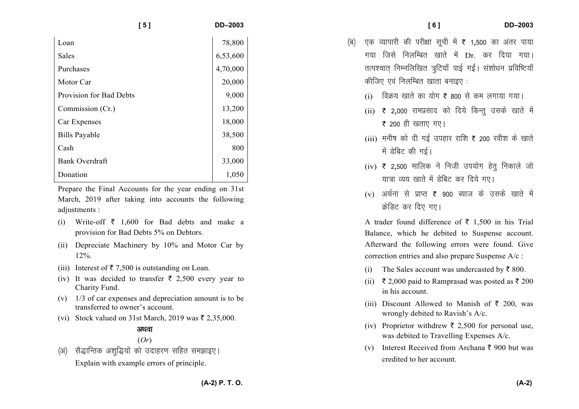| [5]                     | DD-2003  |  |
|-------------------------|----------|--|
| Loan                    | 78,800   |  |
| Sales                   | 6,53,600 |  |
| Purchases               | 4,70,000 |  |
| Motor Car               | 20,000   |  |
| Provision for Bad Debts | 9,000    |  |
| Commission (Cr.)        | 13,200   |  |
| Car Expenses            | 18,000   |  |
| <b>Bills Payable</b>    | 38,500   |  |
| Cash                    | 800      |  |
| <b>Bank Overdraft</b>   | 33,000   |  |
| Donation                | 1,050    |  |

Prepare the Final Accounts for the year ending on 31st March, 2019 after taking into accounts the following adjustments :

- (i) Write-off  $\bar{\tau}$  1,600 for Bad debts and make a provision for Bad Debts 5% on Debtors.
- (ii) Depreciate Machinery by 10% and Motor Car by 12%.
- (iii) Interest of  $\bar{\tau}$  7,500 is outstanding on Loan.
- (iv) It was decided to transfer  $\bar{\xi}$  2,500 every year to Charity Fund.
- (v) 1/3 of car expenses and depreciation amount is to be transferred to owner's account.
- (vi) Stock valued on 31st March, 2019 was  $\bar{\tau}$  2,35,000.

#### अथवा

#### (*Or*)

,<br>(अ) सैद्धान्तिक अशुद्धियों को उदाहरण सहित समझाइए। Explain with example errors of principle.

|     |       | [6]                                    |                                                                                          | DD-2003 |
|-----|-------|----------------------------------------|------------------------------------------------------------------------------------------|---------|
| (ब) |       |                                        | एक व्यापारी की परीक्षा सूची में है 1,500 का अंतर पाया                                    |         |
|     |       |                                        | गया जिसे निलम्बित खाते में Dr. कर दिया गया।                                              |         |
|     |       |                                        | तत्पश्चात् निम्नलिखित त्रुटियाँ पाई गईं। संशोधन प्रविष्टियाँ                             |         |
|     |       | कीजिए एवं निलम्बित खाता बनाइए :        |                                                                                          |         |
|     | (i)   |                                        | विक्रय खाते का योग ₹ 800 से कम लगाया गया।                                                |         |
|     |       |                                        | (ii) ₹ 2,000 रामप्रसाद को दिये किन्तु उसके खाते में                                      |         |
|     |       | ₹ 200 ही खताए गए।                      |                                                                                          |         |
|     | (iii) |                                        | मनीष को दी गई उपहार राशि ₹ 200 रवीश के खाते                                              |         |
|     |       | में डेबिट की गई।                       |                                                                                          |         |
|     |       |                                        | (iv) ₹ 2,500 मालिक ने निजी उपयोग हेतु निकाले जो                                          |         |
|     |       | यात्रा व्यय खाते में डेबिट कर दिये गए। |                                                                                          |         |
|     | (v)   |                                        | अर्चना से प्राप्त ₹ 900 ब्याज के उसके खाते में                                           |         |
|     |       | क्रेडिट कर दिए गए।                     |                                                                                          |         |
|     |       |                                        | A trader found difference of $\overline{\xi}$ 1,500 in his Trial                         |         |
|     |       |                                        | Balance, which he debited to Suspense account.                                           |         |
|     |       |                                        | Afterward the following errors were found. Give                                          |         |
|     |       |                                        | correction entries and also prepare Suspense A/c :                                       |         |
|     | (i)   |                                        | The Sales account was undercasted by $\bar{\tau}$ 800.                                   |         |
|     | (ii)  | in his account.                        | ₹ 2,000 paid to Ramprasad was posted as ₹ 200                                            |         |
|     | (iii) |                                        | Discount Allowed to Manish of $\bar{\tau}$ 200, was                                      |         |
|     |       | wrongly debited to Ravish's A/c.       |                                                                                          |         |
|     | (iv)  |                                        | Proprietor withdrew ₹ 2,500 for personal use,<br>was debited to Travelling Expenses A/c. |         |
|     | (v)   |                                        | Interest Received from Archana ₹ 900 but was                                             |         |
|     |       | credited to her account.               |                                                                                          |         |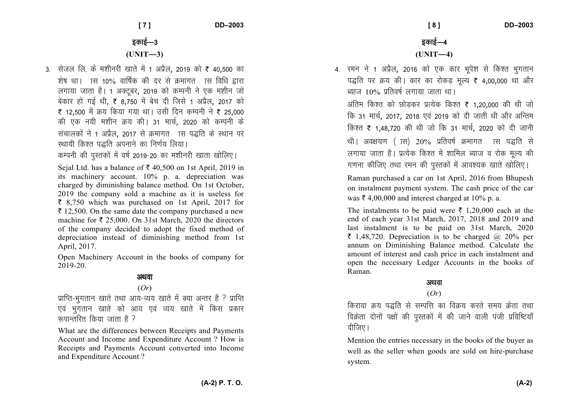*bdkbZ*&*<sup>3</sup>***(UNIT—3)** 

3. सेजल लि. के मशीनरी खाते में 1 अप्रैल, 2019 को ₹ 40,500 का *'ks"k FkkA kl 10*% *okf"kZd dh nj ls Øekxr kl fof/k }kjk* लगाया जाता है। 1 अक्टूबर, 2019 को कम्पनी ने एक मशीन जो बेकार हो गई थी, ₹ 8,750 में बेच दी जिसे 1 अप्रैल, 2017 को *₹* 12,500 में क्रय किया गया था। उसी दिन कम्पनी ने ₹ 25,000 *dh ,d u;h e'khu Ø; dhA 31 ekpZ*] *2020 dks dEiuh ds* संचालकों ने 1 अप्रैल, 2017 से क्रमागत ास पद्धति के स्थान पर *LFkk;h fd'r i)fr viukus dk fu.kZ; fy;kA* 

*dEiuh dh iqLrdksa esa o"kZ 2019*&*20 dk e'khujh [kkrk [kksfy,A* 

Sejal Ltd. has a balance of  $\bar{\mathfrak{c}}$  40,500 on 1st April, 2019 in its machinery account. 10% p. a. depreciation was charged by diminishing balance method. On 1st October, 2019 the company sold a machine as it is useless for  $\bar{\xi}$  8,750 which was purchased on 1st April, 2017 for  $\bar{\tau}$  12,500. On the same date the company purchased a new machine for  $\bar{\tau}$  25,000. On 31st March, 2020 the directors of the company decided to adopt the fixed method of depreciation instead of diminishing method from 1stApril, 2017.

Open Machinery Account in the books of company for 2019-20.

#### अथवा

#### (*Or*)

*y*<br>प्राप्ति-भुगतान खाते तथा आय-व्यय खाते में क्या अन्तर है ? प्राप्ति एवं भुगतान खाते को आय एवं व्यय खाते में किस प्रकार *:ikUrfjr fd;k tkrk gS \* 

What are the differences between Receipts and Payments Account and Income and Expenditure Account ? How is Receipts and Payments Account converted into Incomeand Expenditure Account ?

4. रमन ने 1 अप्रैल, 2016 को एक कार भूपेश से किश्त भूगतान *प*द्धति पर क्रय की। कार का रोकड़ मूल्य ₹ 4,00,000 था और <u>द्</u>याज 10% प्रतिवर्ष लगाया जाता था।

*vafre fd'r dks NksM+dj izR;sd fd'r* ` *1*]*20*]*000 dh Fkh tks कि* 31 मार्च, 2017, 2018 एवं 2019 को दी जाती थी और अन्तिम *कि*श्त ₹ 1,48,720 की थी जो कि 31 मार्च, 2020 को दी जानी *FkhA vo{k;.k ¼ kl½* 20% *izfro"kZ Øekxr kl i)fr ls yxk;k tkrk gSA izR;sd fd'r esa 'kkfey C;kt o jksd ewY; dh x* गणना कीजिए तथा रमन की पुस्तकों में आवश्यक खाते खोलिए।

Raman purchased a car on 1st April, 2016 from Bhupesh on instalment payment system. The cash price of the car was  $\bar{\tau}$  4,00,000 and interest charged at 10% p. a.

The instalments to be paid were  $\bar{\tau}$  1,20,000 each at the end of each year 31st March, 2017, 2018 and 2019 and last instalment is to be paid on 31st March, 2020  $\bar{\tau}$  1,48,720. Depreciation is to be charged  $\omega$  20% per annum on Diminishing Balance method. Calculate the amount of interest and cash price in each instalment and open the necessary Ledger Accounts in the books of Raman.

#### अथवा

#### (*Or*)

*f* कराया क्रय पद्धति से सम्पत्ति का विक्रय करते समय क्रेता तथा *foØsrk nksuksa i{kksa dh iqLrdksa eas dhs tkus okyh iath izfof"V;k¡* <u>दीजिए।</u>

Mention the entries necessary in the books of the buyer as well as the seller when goods are sold on hire-purchase system.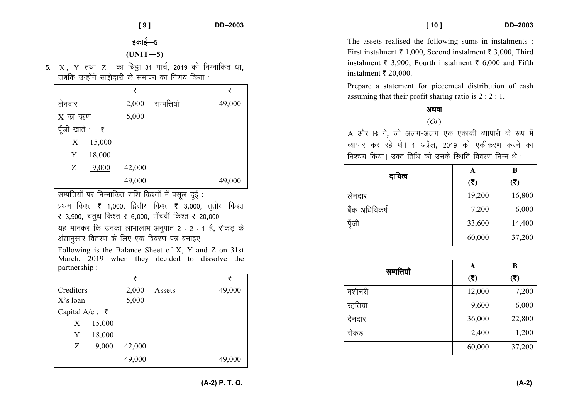## *bdkbZ*&*<sup>5</sup>***(UNIT—5)**

5. X, Y तथा Z का चिड़ा 31 मार्च, 2019 को निम्नांकित था, *tcfd mUgksaus lk>snkjh ds lekiu dk fu.kZ; fd;k %* 

|                | ₹      |             | ₹      |
|----------------|--------|-------------|--------|
| लेनदार         | 2,000  | सम्पत्तियाँ | 49,000 |
| $X$ का ऋण      | 5,000  |             |        |
| पूँजी खाते : ₹ |        |             |        |
| 15,000<br>X    |        |             |        |
| 18,000<br>Y    |        |             |        |
| Z<br>9,000     | 42,000 |             |        |
|                | 49,000 |             | 49,000 |

*राम्पत्तियों पर निम्नांकित राशि किश्तों में वसूल हुई :* 

 *izFke fd'r* ` *1*]*000*] *f}rh; fd'r* ` *3*]*000*] *r`rh; fd'r ₹* 3,900, चतुर्थ किश्त ₹ 6,000, पाँचवीं किश्त ₹ 20,000 | *;g ekudj fd mudk ykHkkYkkHk vuqikr 2 % 2 % 1 gS*] *jksdM+ ds* 

*va'kkuqlkj forj.k ds fy, ,d fooj.k i= cukb,A* 

Following is the Balance Sheet of X, Y and Z on 31st March, 2019 when they decided to dissolve the partnership :

|                 | ₹      |        | ₹      |
|-----------------|--------|--------|--------|
| Creditors       | 2,000  | Assets | 49,000 |
| $X$ 's loan     | 5,000  |        |        |
| Capital A/c : ₹ |        |        |        |
| 15,000<br>X     |        |        |        |
| 18,000<br>Y     |        |        |        |
| 9,000<br>Z      | 42,000 |        |        |
|                 | 49,000 |        | 49,000 |

The assets realised the following sums in instalments : First instalment  $\bar{\xi}$  1,000, Second instalment  $\bar{\xi}$  3,000, Third instalment  $\bar{\tau}$  3,900; Fourth instalment  $\bar{\tau}$  6,000 and Fifth instalment  $\bar{\tau}$  20,000.

Prepare a statement for piecemeal distribution of cash assuming that their profit sharing ratio is 2 : 2 : 1.

#### अथवा

#### (*Or*)

 $\textrm{A}$  और  $\textrm{B}$  ने, जो अलग-अलग एक एकाकी व्यापारी के रूप में *O;kikj dj jgs FksA 1 vizSy*] *2019 dks ,dhdj.k djus dk fu'p; fd;kA mDr frfFk dks muds fLFkfr fooj.k fuEu Fks %* 

| दायित्व        | A<br>(5) | B<br>(5) |
|----------------|----------|----------|
| लेनदार         | 19,200   | 16,800   |
| बैंक अधिविकर्ष | 7,200    | 6,000    |
| पूँजी          | 33,600   | 14,400   |
|                | 60,000   | 37,200   |

| सम्पत्तियाँ | A<br>(3) | B<br>(3) |
|-------------|----------|----------|
| मशीनरी      | 12,000   | 7,200    |
| रहतिया      | 9,600    | 6,000    |
| देनदार      | 36,000   | 22,800   |
| रोकड        | 2,400    | 1,200    |
|             | 60,000   | 37,200   |